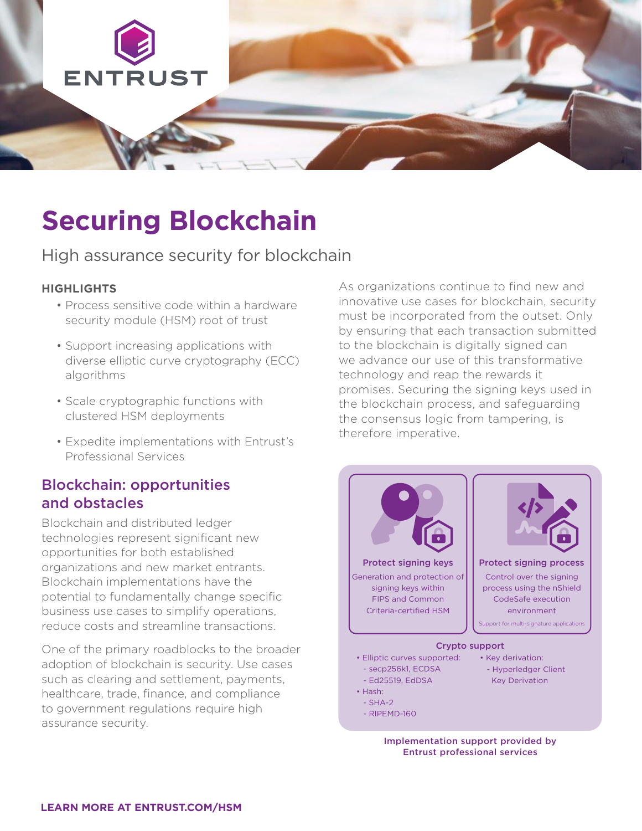

# **Securing Blockchain**

## High assurance security for blockchain

#### **HIGHLIGHTS**

- Process sensitive code within a hardware security module (HSM) root of trust
- Support increasing applications with diverse elliptic curve cryptography (ECC) algorithms
- Scale cryptographic functions with clustered HSM deployments
- Expedite implementations with Entrust's Professional Services

#### Blockchain: opportunities and obstacles

Blockchain and distributed ledger technologies represent significant new opportunities for both established organizations and new market entrants. Blockchain implementations have the potential to fundamentally change specific business use cases to simplify operations, reduce costs and streamline transactions.

One of the primary roadblocks to the broader adoption of blockchain is security. Use cases such as clearing and settlement, payments, healthcare, trade, finance, and compliance to government regulations require high assurance security.

As organizations continue to find new and innovative use cases for blockchain, security must be incorporated from the outset. Only by ensuring that each transaction submitted to the blockchain is digitally signed can we advance our use of this transformative technology and reap the rewards it promises. Securing the signing keys used in the blockchain process, and safeguarding the consensus logic from tampering, is therefore imperative.



Implementation support provided by Entrust professional services